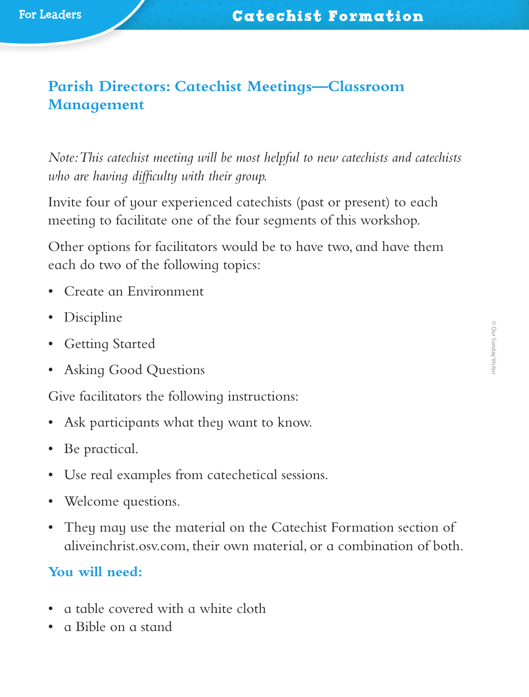# **Parish Directors: Catechist Meetings—Classroom Management**

*Note: This catechist meeting will be most helpful to new catechists and catechists who are having difficulty with their group.*

Invite four of your experienced catechists (past or present) to each meeting to facilitate one of the four segments of this workshop.

Other options for facilitators would be to have two, and have them each do two of the following topics:

- Create an Environment
- Discipline
- Getting Started
- Asking Good Questions

Give facilitators the following instructions:

- Ask participants what they want to know.
- Be practical.
- Use real examples from catechetical sessions.
- Welcome questions.
- They may use the material on the Catechist Formation section of aliveinchrist.osv.com, their own material, or a combination of both.

## **You will need:**

- a table covered with a white cloth
- a Bible on a stand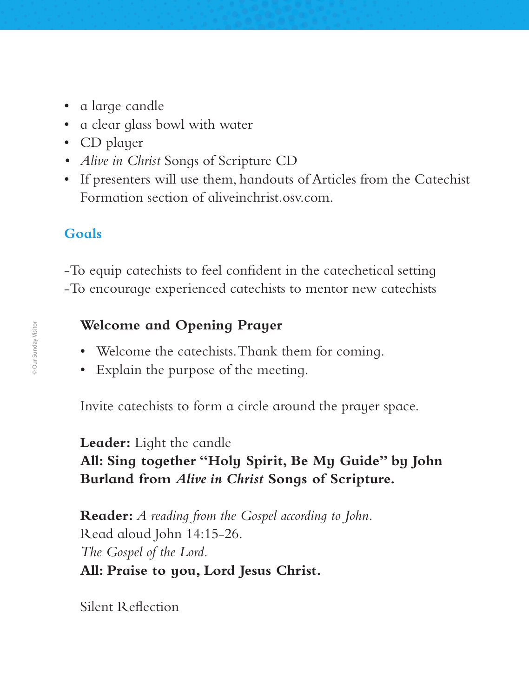- a large candle
- a clear glass bowl with water
- CD player
- *• Alive in Christ* Songs of Scripture CD
- If presenters will use them, handouts of Articles from the Catechist Formation section of aliveinchrist.osv.com.

## **Goals**

‑To equip catechists to feel confident in the catechetical setting ‑To encourage experienced catechists to mentor new catechists

### **Welcome and Opening Prayer**

- Welcome the catechists. Thank them for coming.
- Explain the purpose of the meeting.

Invite catechists to form a circle around the prayer space.

**Leader:** Light the candle **All: Sing together "Holy Spirit, Be My Guide" by John Burland from** *Alive in Christ* **Songs of Scripture.**

**Reader:** *A reading from the Gospel according to John.* Read aloud John 14:15-26. *The Gospel of the Lord.* **All: Praise to you, Lord Jesus Christ.**

Silent Reflection